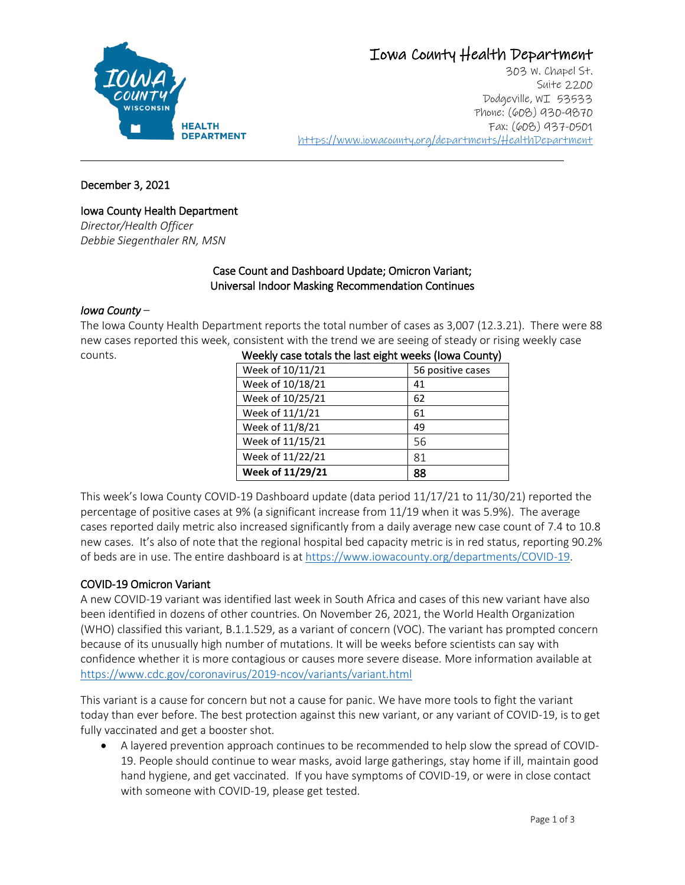

# Iowa County Health Department

303 W. Chapel St. Suite 2200 Dodgeville, WI 53533 Phone: (608) 930-9870 Fax: (608) 937-0501 <https://www.iowacounty.org/departments/HealthDepartment>

# December 3, 2021

#### Iowa County Health Department

*Director/Health Officer Debbie Siegenthaler RN, MSN*

# Case Count and Dashboard Update; Omicron Variant; Universal Indoor Masking Recommendation Continues

#### *Iowa County* –

The Iowa County Health Department reports the total number of cases as 3,007 (12.3.21). There were 88 new cases reported this week, consistent with the trend we are seeing of steady or rising weekly case counts. Weekly case totals the last eight weeks (Iowa County)

| Weekly case totals the last eight weeks (lowa County) |                   |
|-------------------------------------------------------|-------------------|
| Week of 10/11/21                                      | 56 positive cases |
| Week of 10/18/21                                      | 41                |
| Week of 10/25/21                                      | 62                |
| Week of 11/1/21                                       | 61                |
| Week of 11/8/21                                       | 49                |
| Week of 11/15/21                                      | 56                |
| Week of 11/22/21                                      | 81                |
| Week of 11/29/21                                      | 88                |

This week's Iowa County COVID-19 Dashboard update (data period 11/17/21 to 11/30/21) reported the percentage of positive cases at 9% (a significant increase from 11/19 when it was 5.9%). The average cases reported daily metric also increased significantly from a daily average new case count of 7.4 to 10.8 new cases. It's also of note that the regional hospital bed capacity metric is in red status, reporting 90.2% of beds are in use. The entire dashboard is at [https://www.iowacounty.org/departments/COVID-19.](https://www.iowacounty.org/departments/COVID-19)

# COVID-19 Omicron Variant

A new COVID-19 variant was identified last week in South Africa and cases of this new variant have also been identified in dozens of other countries. On November 26, 2021, the World Health Organization (WHO) classified this variant, B.1.1.529, as a variant of concern (VOC). The variant has prompted concern because of its unusually high number of mutations. It will be weeks before scientists can say with confidence whether it is more contagious or causes more severe disease. More information available at <https://www.cdc.gov/coronavirus/2019-ncov/variants/variant.html>

This variant is a cause for concern but not a cause for panic. We have more tools to fight the variant today than ever before. The best protection against this new variant, or any variant of COVID-19, is to get fully vaccinated and get a booster shot.

 A layered prevention approach continues to be recommended to help slow the spread of COVID-19. People should continue to wear masks, avoid large gatherings, stay home if ill, maintain good hand hygiene, and get vaccinated. If you have symptoms of COVID-19, or were in close contact with someone with COVID-19, please get tested.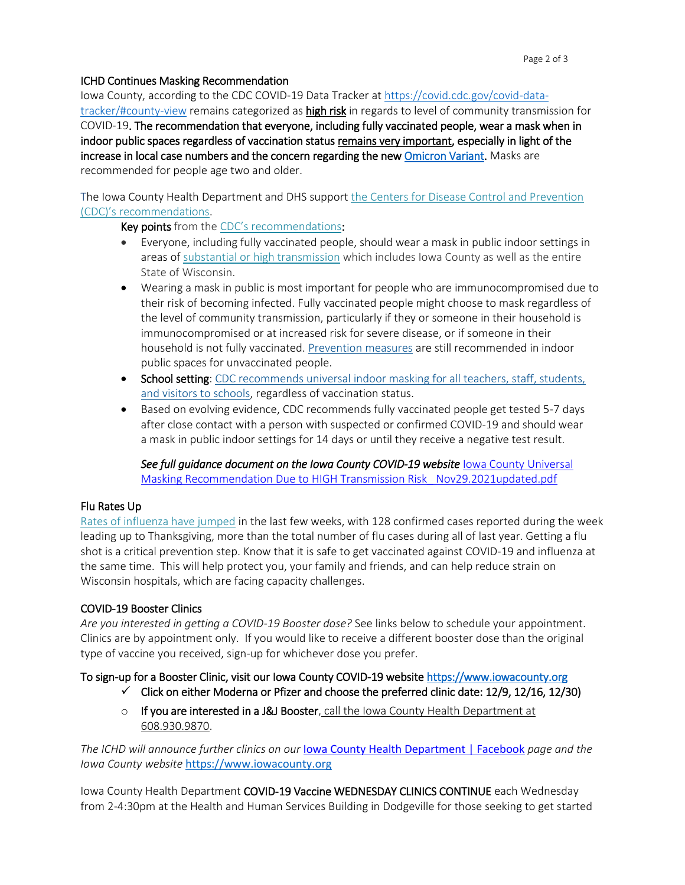# ICHD Continues Masking Recommendation

Iowa County, according to the CDC COVID-19 Data Tracker a[t https://covid.cdc.gov/covid-data](https://covid.cdc.gov/covid-data-tracker/#county-view)[tracker/#county-view](https://covid.cdc.gov/covid-data-tracker/#county-view) remains categorized as **high risk** in regards to level of community transmission for COVID-19. The recommendation that everyone, including fully vaccinated people, wear a mask when in indoor public spaces regardless of vaccination status remains very important, especially in light of the increase in local case numbers and the concern regarding the ne[w Omicron Variant.](https://www.cdc.gov/media/releases/2021/s1126-B11-529-omicron.html) Masks are recommended for people age two and older.

The Iowa County Health Department and DHS support [the Centers for Disease Control and Prevention](https://lnks.gd/l/eyJhbGciOiJIUzI1NiJ9.eyJidWxsZXRpbl9saW5rX2lkIjoxMjIsInVyaSI6ImJwMjpjbGljayIsImJ1bGxldGluX2lkIjoiMjAyMTA3MjkuNDM4NzQyOTEiLCJ1cmwiOiJodHRwczovL3d3dy5jZGMuZ292L2Nvcm9uYXZpcnVzLzIwMTktbmNvdi92YWNjaW5lcy9mdWxseS12YWNjaW5hdGVkLWd1aWRhbmNlLmh0bWwifQ.dku7W_Rajs72uV03k3zPcJMNzlHwxHDYoMLS0WKS_ZU/s/1123389647/br/110126094114-l)  [\(CDC\)'s recommendations](https://lnks.gd/l/eyJhbGciOiJIUzI1NiJ9.eyJidWxsZXRpbl9saW5rX2lkIjoxMjIsInVyaSI6ImJwMjpjbGljayIsImJ1bGxldGluX2lkIjoiMjAyMTA3MjkuNDM4NzQyOTEiLCJ1cmwiOiJodHRwczovL3d3dy5jZGMuZ292L2Nvcm9uYXZpcnVzLzIwMTktbmNvdi92YWNjaW5lcy9mdWxseS12YWNjaW5hdGVkLWd1aWRhbmNlLmh0bWwifQ.dku7W_Rajs72uV03k3zPcJMNzlHwxHDYoMLS0WKS_ZU/s/1123389647/br/110126094114-l).

Key points from the [CDC's recommendations](https://lnks.gd/l/eyJhbGciOiJIUzI1NiJ9.eyJidWxsZXRpbl9saW5rX2lkIjoxMDAsInVyaSI6ImJwMjpjbGljayIsImJ1bGxldGluX2lkIjoiMjAyMTA3MjguNDM4MjU3NzEiLCJ1cmwiOiJodHRwczovL3d3dy5jZGMuZ292L2Nvcm9uYXZpcnVzLzIwMTktbmNvdi92YWNjaW5lcy9mdWxseS12YWNjaW5hdGVkLWd1aWRhbmNlLmh0bWwifQ.lvlBUj84VpXJoZVMwTvDMQL-MXH75sk24dsZLxaIG-o/s/1123389647/br/110053370641-l):

- Everyone, including fully vaccinated people, should wear a mask in public indoor settings in areas of [substantial or high transmission](https://lnks.gd/l/eyJhbGciOiJIUzI1NiJ9.eyJidWxsZXRpbl9saW5rX2lkIjoxMTIsInVyaSI6ImJwMjpjbGljayIsImJ1bGxldGluX2lkIjoiMjAyMTA3MjkuNDM4NzQyOTEiLCJ1cmwiOiJodHRwczovL2NvdmlkLmNkYy5nb3YvY292aWQtZGF0YS10cmFja2VyLyNjb3VudHktdmlldyJ9.kHPB07tr4Mn_sIOY7OtHpKC-5pKmGc14xXrUx67fIxQ/s/1123389647/br/110126094114-l) which includes Iowa County as well as the entire State of Wisconsin.
- Wearing a mask in public is most important for people who are immunocompromised due to their risk of becoming infected. Fully vaccinated people might choose to mask regardless of the level of community transmission, particularly if they or someone in their household is immunocompromised or at increased risk for severe disease, or if someone in their household is not fully vaccinated. [Prevention measures](https://www.cdc.gov/coronavirus/2019-ncov/prevent-getting-sick/prevention.html) are still recommended in indoor public spaces for unvaccinated people.
- **School setting**: CDC recommends universal indoor masking for all teachers, staff, students, [and visitors to schools,](https://www.cdc.gov/coronavirus/2019-ncov/community/schools-childcare/k-12-guidance.html) regardless of vaccination status.
- Based on evolving evidence, CDC recommends fully vaccinated people get tested 5-7 days after close contact with a person with suspected or confirmed COVID-19 and should wear a mask in public indoor settings for 14 days or until they receive a negative test result.

*See full guidance document on the Iowa County COVID-19 website* Iowa County Universal Masking Recommendation Due to HIGH Transmission Risk\_ Nov29.2021updated.pdf

# Flu Rates Up

[Rates of influenza have jumped](https://lnks.gd/l/eyJhbGciOiJIUzI1NiJ9.eyJidWxsZXRpbl9saW5rX2lkIjoxMDMsInVyaSI6ImJwMjpjbGljayIsImJ1bGxldGluX2lkIjoiMjAyMTEyMDIuNDk2OTg0MjEiLCJ1cmwiOiJodHRwczovL3d3dy5kaHMud2lzY29uc2luLmdvdi9wdWJsaWNhdGlvbnMvcDAyMzQ2LTIwMjEtMTEtMjAucGRmIn0.oM6X6TE9bB9x6NNQlR6o28T2OyHyYO3Uy1CvXbgqajo/s/1123389647/br/122199721119-l) in the last few weeks, with 128 confirmed cases reported during the week leading up to Thanksgiving, more than the total number of flu cases during all of last year. Getting a flu shot is a critical prevention step. Know that it is safe to get vaccinated against COVID-19 and influenza at the same time. This will help protect you, your family and friends, and can help reduce strain on Wisconsin hospitals, which are facing capacity challenges.

#### COVID-19 Booster Clinics

*Are you interested in getting a COVID-19 Booster dose?* See links below to schedule your appointment. Clinics are by appointment only. If you would like to receive a different booster dose than the original type of vaccine you received, sign-up for whichever dose you prefer.

#### To sign-up for a Booster Clinic, visit our Iowa County COVID-19 websit[e https://www.iowacounty.org](https://www.iowacounty.org/)

- $\checkmark$  Click on either Moderna or Pfizer and choose the preferred clinic date: 12/9, 12/16, 12/30)
- $\circ$  If you are interested in a J&J Booster, call the Iowa County Health Department at 608.930.9870.

*The ICHD will announce further clinics on our lowa County Health Department | Facebook page and the Iowa County website* [https://www.iowacounty.org](https://www.iowacounty.org/)

Iowa County Health Department COVID-19 Vaccine WEDNESDAY CLINICS CONTINUE each Wednesday from 2-4:30pm at the Health and Human Services Building in Dodgeville for those seeking to get started